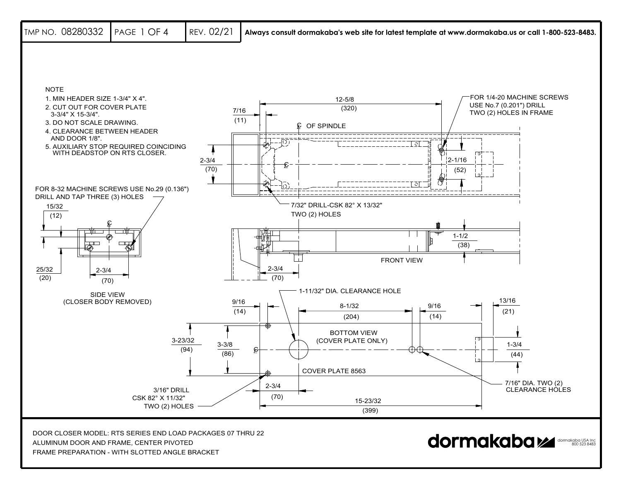

FRAME PREPARATION - WITH SLOTTED ANGLE BRACKET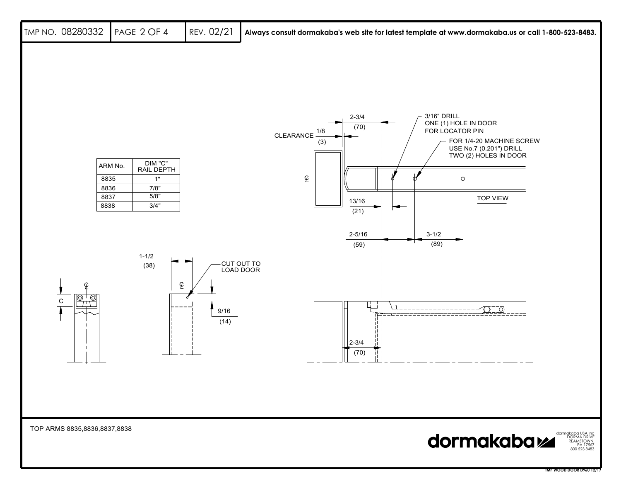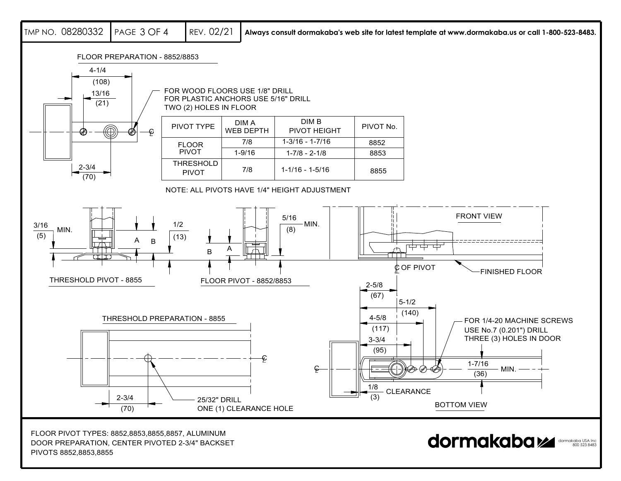REV. 02/21 **Always consult dormakaba's web site for latest template at www.dormakaba.us or call 1-800-523-8483.** TMP NO. 082803322 | page 3 OF 4 FLOOR PREPARATION - 8852/88534-1/4(108) FOR WOOD FLOORS USE 1/8" DRILL13/16 FOR PLASTIC ANCHORS USE 5/16" DRILL(21) TWO (2) HOLES IN FLOOR DIM BDIM APIVOT TYPE WEB DEPTH PIVOT No. $\textcircled{\scriptsize{1}}$ PIVOT HEIGHT  $\scriptstyle\varphi$ 7/81-3/16 - 1-7/168852FLOOR PIVOT1-9/161-7/8 - 2-1/88853THRESHOLD2-3/47/81-1/16 - 1-5/168855PIVOT(70) NOTE: ALL PIVOTS HAVE 1/4" HEIGHT ADJUSTMENTFRONT VIEW5/161/2MIN.3/16 (8) MIN. $(5)$  (13) AB中 <sup>A</sup> B $\operatorname{\mathfrak{C}}$  OF PIVOT FINISHED FLOORTHRESHOLD PIVOT - 8855FLOOR PIVOT - 8852/88532-5/8 (67)  $5 - 1/2$ (140) THRESHOLD PREPARATION - 88554-5/8 FOR 1/4-20 MACHINE SCREWS (117) USE No.7 (0.201") DRILL THREE (3) HOLES IN DOOR 3-3/4 (95)  $\epsilon$ 1-7/16MIN.C (36) 1/8**CLEARANCE** (3) 2-3/425/32" DRILL<br>ONE (1) CLEARANCE HOLE BOTTOM VIEW(70) FLOOR PIVOT TYPES: 8852,8853,8855,8857, ALUMINUM DOOR PREPARATION, CENTER PIVOTED 2-3/4" BACKSET dormakaba USA Inc 800 523 8483

PIVOTS 8852,8853,8855